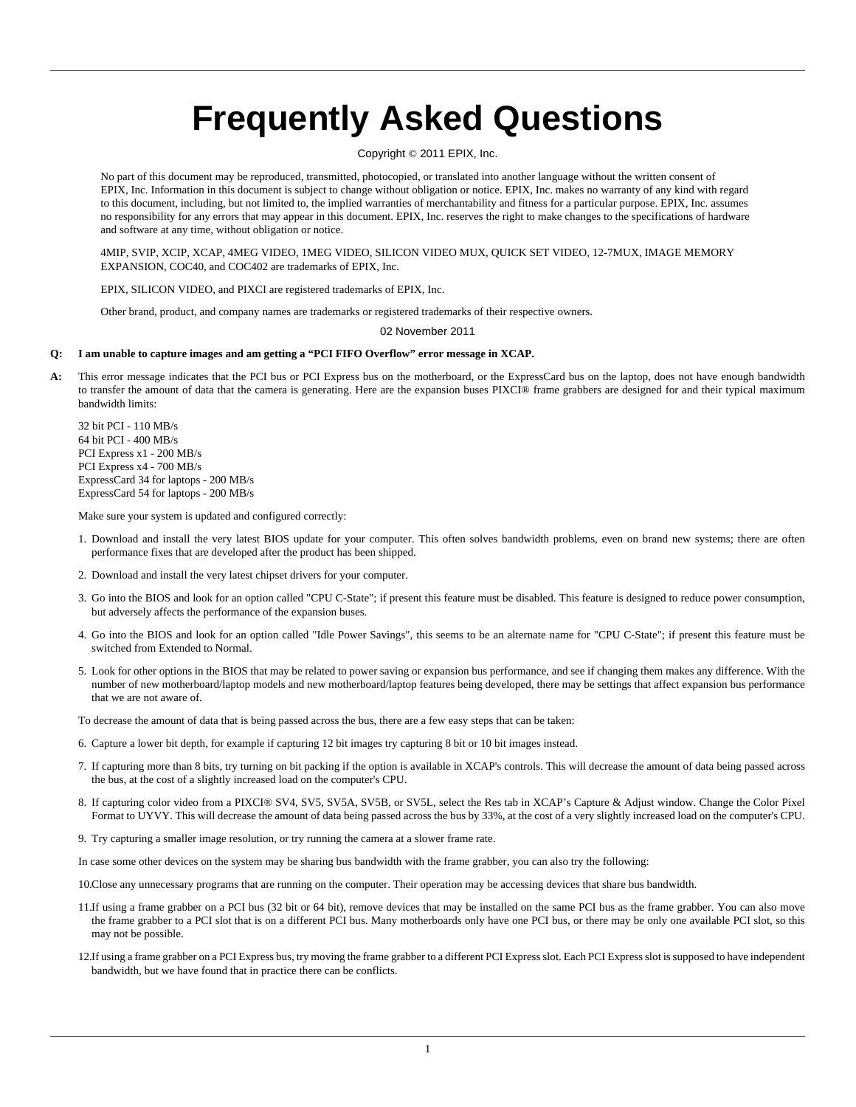# **Frequently Asked Questions**

## Copyright © 2011 EPIX, Inc.

No part of this document may be reproduced, transmitted, photocopied, or translated into another language without the written consent of EPIX, Inc. Information in this document is subject to change without obligation or notice. EPIX, Inc. makes no warranty of any kind with regard to this document, including, but not limited to, the implied warranties of merchantability and fitness for a particular purpose. EPIX, Inc. assumes no responsibility for any errors that may appear in this document. EPIX, Inc. reserves the right to make changes to the specifications of hardware and software at any time, without obligation or notice.

4MIP, SVIP, XCIP, XCAP, 4MEG VIDEO, 1MEG VIDEO, SILICON VIDEO MUX, QUICK SET VIDEO, 12-7MUX, IMAGE MEMORY EXPANSION, COC40, and COC402 are trademarks of EPIX, Inc.

EPIX, SILICON VIDEO, and PIXCI are registered trademarks of EPIX, Inc.

Other brand, product, and company names are trademarks or registered trademarks of their respective owners.

02 November 2011

### **Q: I am unable to capture images and am getting a "PCI FIFO Overflow" error message in XCAP.**

A: This error message indicates that the PCI bus or PCI Express bus on the motherboard, or the ExpressCard bus on the laptop, does not have enough bandwidth to transfer the amount of data that the camera is generating. Here are the expansion buses PIXCI® frame grabbers are designed for and their typical maximum bandwidth limits:

32 bit PCI - 110 MB/s 64 bit PCI - 400 MB/s PCI Express x1 - 200 MB/s PCI Express x4 - 700 MB/s ExpressCard 34 for laptops - 200 MB/s ExpressCard 54 for laptops - 200 MB/s

Make sure your system is updated and configured correctly:

- 1. Download and install the very latest BIOS update for your computer. This often solves bandwidth problems, even on brand new systems; there are often performance fixes that are developed after the product has been shipped.
- 2. Download and install the very latest chipset drivers for your computer.
- 3. Go into the BIOS and look for an option called "CPU C-State"; if present this feature must be disabled. This feature is designed to reduce power consumption, but adversely affects the performance of the expansion buses.
- 4. Go into the BIOS and look for an option called "Idle Power Savings", this seems to be an alternate name for "CPU C-State"; if present this feature must be switched from Extended to Normal.
- 5. Look for other options in the BIOS that may be related to power saving or expansion bus performance, and see if changing them makes any difference. With the number of new motherboard/laptop models and new motherboard/laptop features being developed, there may be settings that affect expansion bus performance that we are not aware of.

To decrease the amount of data that is being passed across the bus, there are a few easy steps that can be taken:

- 6. Capture a lower bit depth, for example if capturing 12 bit images try capturing 8 bit or 10 bit images instead.
- 7. If capturing more than 8 bits, try turning on bit packing if the option is available in XCAP's controls. This will decrease the amount of data being passed across the bus, at the cost of a slightly increased load on the computer's CPU.
- 8. If capturing color video from a PIXCI® SV4, SV5, SV5A, SV5B, or SV5L, select the Res tab in XCAP's Capture & Adjust window. Change the Color Pixel Format to UYVY. This will decrease the amount of data being passed across the bus by 33%, at the cost of a very slightly increased load on the computer's CPU.
- 9. Try capturing a smaller image resolution, or try running the camera at a slower frame rate.

In case some other devices on the system may be sharing bus bandwidth with the frame grabber, you can also try the following:

10.Close any unnecessary programs that are running on the computer. Their operation may be accessing devices that share bus bandwidth.

- 11.If using a frame grabber on a PCI bus (32 bit or 64 bit), remove devices that may be installed on the same PCI bus as the frame grabber. You can also move the frame grabber to a PCI slot that is on a different PCI bus. Many motherboards only have one PCI bus, or there may be only one available PCI slot, so this may not be possible.
- 12.If using a frame grabber on a PCI Express bus, try moving the frame grabber to a different PCI Express slot. Each PCI Express slot is supposed to have independent bandwidth, but we have found that in practice there can be conflicts.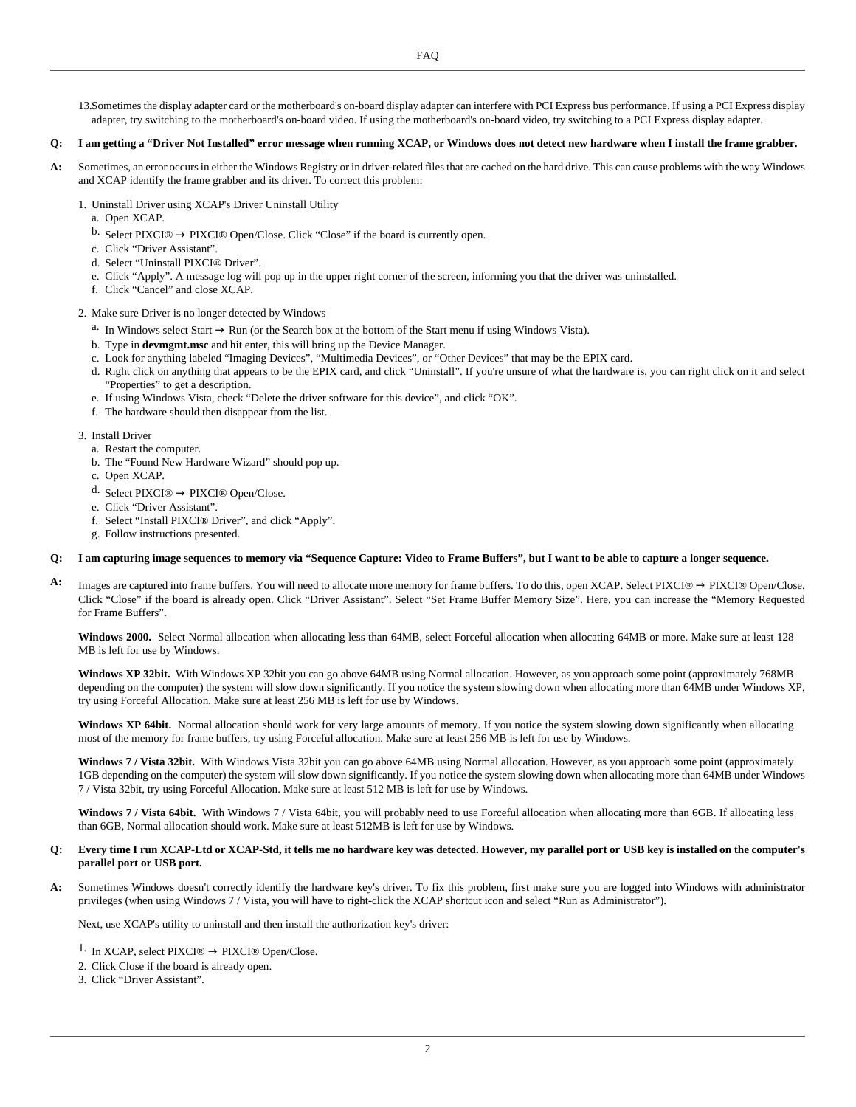13.Sometimes the display adapter card or the motherboard's on-board display adapter can interfere with PCI Express bus performance. If using a PCI Express display adapter, try switching to the motherboard's on-board video. If using the motherboard's on-board video, try switching to a PCI Express display adapter.

#### **Q: I am getting a "Driver Not Installed" error message when running XCAP, or Windows does not detect new hardware when I install the frame grabber.**

- **A:** Sometimes, an error occurs in either the Windows Registry or in driver-related files that are cached on the hard drive. This can cause problems with the way Windows and XCAP identify the frame grabber and its driver. To correct this problem:
	- 1. Uninstall Driver using XCAP's Driver Uninstall Utility
		- a. Open XCAP.
		- b. Select PIXCI®  $\rightarrow$  PIXCI® Open/Close. Click "Close" if the board is currently open.
		- c. Click "Driver Assistant".
		- d. Select "Uninstall PIXCI® Driver".
		- e. Click "Apply". A message log will pop up in the upper right corner of the screen, informing you that the driver was uninstalled.
		- f. Click "Cancel" and close XCAP.

### 2. Make sure Driver is no longer detected by Windows

- a. In Windows select Start → Run (or the Search box at the bottom of the Start menu if using Windows Vista).
- b. Type in **devmgmt.msc** and hit enter, this will bring up the Device Manager.
- c. Look for anything labeled "Imaging Devices", "Multimedia Devices", or "Other Devices" that may be the EPIX card.
- d. Right click on anything that appears to be the EPIX card, and click "Uninstall". If you're unsure of what the hardware is, you can right click on it and select "Properties" to get a description.
- e. If using Windows Vista, check "Delete the driver software for this device", and click "OK".
- f. The hardware should then disappear from the list.

### 3. Install Driver

- a. Restart the computer.
- b. The "Found New Hardware Wizard" should pop up.
- c. Open XCAP.
- d. Select PIXCI®  $\rightarrow$  PIXCI® Open/Close.
- e. Click "Driver Assistant".
- f. Select "Install PIXCI® Driver", and click "Apply".
- g. Follow instructions presented.

### **Q: I am capturing image sequences to memory via "Sequence Capture: Video to Frame Buffers", but I want to be able to capture a longer sequence.**

**A:** Images are captured into frame buffers. You will need to allocate more memory for frame buffers. To do this, open XCAP. Select PIXCI® → PIXCI® Open/Close. Click "Close" if the board is already open. Click "Driver Assistant". Select "Set Frame Buffer Memory Size". Here, you can increase the "Memory Requested for Frame Buffers".

**Windows 2000.** Select Normal allocation when allocating less than 64MB, select Forceful allocation when allocating 64MB or more. Make sure at least 128 MB is left for use by Windows.

**Windows XP 32bit.** With Windows XP 32bit you can go above 64MB using Normal allocation. However, as you approach some point (approximately 768MB depending on the computer) the system will slow down significantly. If you notice the system slowing down when allocating more than 64MB under Windows XP, try using Forceful Allocation. Make sure at least 256 MB is left for use by Windows.

Windows XP 64bit. Normal allocation should work for very large amounts of memory. If you notice the system slowing down significantly when allocating most of the memory for frame buffers, try using Forceful allocation. Make sure at least 256 MB is left for use by Windows.

**Windows 7 / Vista 32bit.** With Windows Vista 32bit you can go above 64MB using Normal allocation. However, as you approach some point (approximately 1GB depending on the computer) the system will slow down significantly. If you notice the system slowing down when allocating more than 64MB under Windows 7 / Vista 32bit, try using Forceful Allocation. Make sure at least 512 MB is left for use by Windows.

Windows 7 / Vista 64bit. With Windows 7 / Vista 64bit, you will probably need to use Forceful allocation when allocating more than 6GB. If allocating less than 6GB, Normal allocation should work. Make sure at least 512MB is left for use by Windows.

### **Q: Every time I run XCAP-Ltd or XCAP-Std, it tells me no hardware key was detected. However, my parallel port or USB key is installed on the computer's parallel port or USB port.**

**A:** Sometimes Windows doesn't correctly identify the hardware key's driver. To fix this problem, first make sure you are logged into Windows with administrator privileges (when using Windows 7 / Vista, you will have to right-click the XCAP shortcut icon and select "Run as Administrator").

Next, use XCAP's utility to uninstall and then install the authorization key's driver:

- <sup>1.</sup> In XCAP, select PIXCI<sup>®</sup>  $\rightarrow$  PIXCI<sup>®</sup> Open/Close.
- 2. Click Close if the board is already open.
- 3. Click "Driver Assistant".